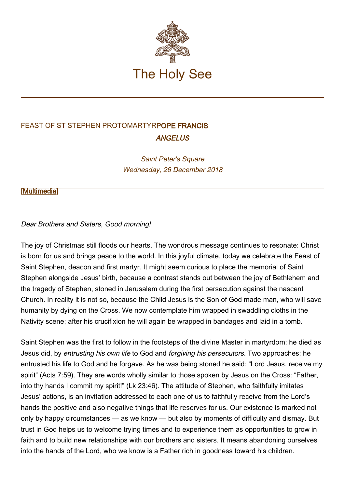

# FEAST OF ST STEPHEN PROTOMARTYRPOPE FRANCIS **ANGELUS**

Saint Peter's Square Wednesday, 26 December 2018

[\[Multimedia](http://w2.vatican.va/content/francesco/en/events/event.dir.html/content/vaticanevents/en/2018/12/26/angelus.html)]

# Dear Brothers and Sisters, Good morning!

The joy of Christmas still floods our hearts. The wondrous message continues to resonate: Christ is born for us and brings peace to the world. In this joyful climate, today we celebrate the Feast of Saint Stephen, deacon and first martyr. It might seem curious to place the memorial of Saint Stephen alongside Jesus' birth, because a contrast stands out between the joy of Bethlehem and the tragedy of Stephen, stoned in Jerusalem during the first persecution against the nascent Church. In reality it is not so, because the Child Jesus is the Son of God made man, who will save humanity by dying on the Cross. We now contemplate him wrapped in swaddling cloths in the Nativity scene; after his crucifixion he will again be wrapped in bandages and laid in a tomb.

Saint Stephen was the first to follow in the footsteps of the divine Master in martyrdom; he died as Jesus did, by entrusting his own life to God and forgiving his persecutors. Two approaches: he entrusted his life to God and he forgave. As he was being stoned he said: "Lord Jesus, receive my spirit" (Acts 7:59). They are words wholly similar to those spoken by Jesus on the Cross: "Father, into thy hands I commit my spirit!" (Lk 23:46). The attitude of Stephen, who faithfully imitates Jesus' actions, is an invitation addressed to each one of us to faithfully receive from the Lord's hands the positive and also negative things that life reserves for us. Our existence is marked not only by happy circumstances — as we know — but also by moments of difficulty and dismay. But trust in God helps us to welcome trying times and to experience them as opportunities to grow in faith and to build new relationships with our brothers and sisters. It means abandoning ourselves into the hands of the Lord, who we know is a Father rich in goodness toward his children.